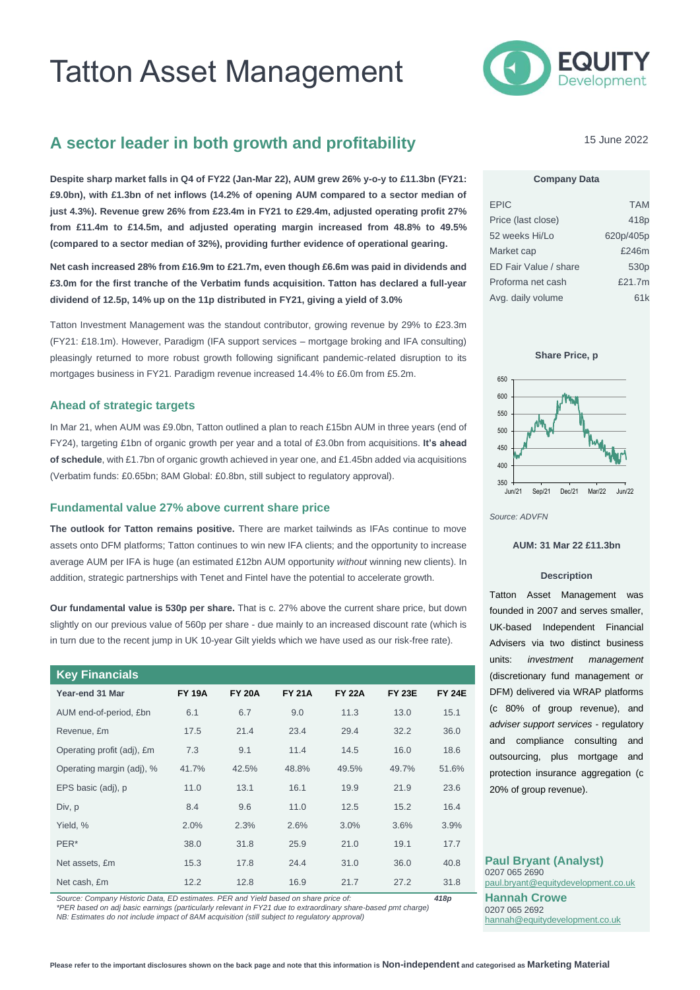# Tatton Asset Management



# **A sector leader in both growth and profitability**

**Despite sharp market falls in Q4 of FY22 (Jan-Mar 22), AUM grew 26% y-o-y to £11.3bn (FY21: £9.0bn), with £1.3bn of net inflows (14.2% of opening AUM compared to a sector median of just 4.3%). Revenue grew 26% from £23.4m in FY21 to £29.4m, adjusted operating profit 27% from £11.4m to £14.5m, and adjusted operating margin increased from 48.8% to 49.5% (compared to a sector median of 32%), providing further evidence of operational gearing.**

**Net cash increased 28% from £16.9m to £21.7m, even though £6.6m was paid in dividends and £3.0m for the first tranche of the Verbatim funds acquisition. Tatton has declared a full-year dividend of 12.5p, 14% up on the 11p distributed in FY21, giving a yield of 3.0%**

Tatton Investment Management was the standout contributor, growing revenue by 29% to £23.3m (FY21: £18.1m). However, Paradigm (IFA support services – mortgage broking and IFA consulting) pleasingly returned to more robust growth following significant pandemic-related disruption to its mortgages business in FY21. Paradigm revenue increased 14.4% to £6.0m from £5.2m.

#### **Ahead of strategic targets**

In Mar 21, when AUM was £9.0bn, Tatton outlined a plan to reach £15bn AUM in three years (end of FY24), targeting £1bn of organic growth per year and a total of £3.0bn from acquisitions. **It's ahead of schedule**, with £1.7bn of organic growth achieved in year one, and £1.45bn added via acquisitions (Verbatim funds: £0.65bn; 8AM Global: £0.8bn, still subject to regulatory approval).

#### **Fundamental value 27% above current share price**

**The outlook for Tatton remains positive.** There are market tailwinds as IFAs continue to move assets onto DFM platforms; Tatton continues to win new IFA clients; and the opportunity to increase average AUM per IFA is huge (an estimated £12bn AUM opportunity *without* winning new clients). In addition, strategic partnerships with Tenet and Fintel have the potential to accelerate growth.

**Our fundamental value is 530p per share.** That is c. 27% above the current share price, but down slightly on our previous value of 560p per share - due mainly to an increased discount rate (which is in turn due to the recent jump in UK 10-year Gilt yields which we have used as our risk-free rate).

| <b>Key Financials</b>      |               |               |               |               |               |               |
|----------------------------|---------------|---------------|---------------|---------------|---------------|---------------|
| Year-end 31 Mar            | <b>FY 19A</b> | <b>FY 20A</b> | <b>FY 21A</b> | <b>FY 22A</b> | <b>FY 23E</b> | <b>FY 24E</b> |
| AUM end-of-period, £bn     | 6.1           | 6.7           | 9.0           | 11.3          | 13.0          | 15.1          |
| Revenue, £m                | 17.5          | 21.4          | 23.4          | 29.4          | 32.2          | 36.0          |
| Operating profit (adj), £m | 7.3           | 9.1           | 11.4          | 14.5          | 16.0          | 18.6          |
| Operating margin (adj), %  | 41.7%         | 42.5%         | 48.8%         | 49.5%         | 49.7%         | 51.6%         |
| EPS basic (adj), p         | 11.0          | 13.1          | 16.1          | 19.9          | 21.9          | 23.6          |
| Div, p                     | 8.4           | 9.6           | 11.0          | 12.5          | 15.2          | 16.4          |
| Yield, %                   | 2.0%          | 2.3%          | 2.6%          | 3.0%          | 3.6%          | 3.9%          |
| PER*                       | 38.0          | 31.8          | 25.9          | 21.0          | 19.1          | 17.7          |
| Net assets, £m             | 15.3          | 17.8          | 24.4          | 31.0          | 36.0          | 40.8          |
| Net cash, £m               | 12.2          | 12.8          | 16.9          | 21.7          | 27.2          | 31.8          |

*Source: Company Historic Data, ED estimates. PER and Yield based on share price of: 418p*

*\*PER based on adj basic earnings (particularly relevant in FY21 due to extraordinary share-based pmt charge) NB: Estimates do not include impact of 8AM acquisition (still subject to regulatory approval)*

15 June 2022

### **Company Data**

| <b>EPIC</b>           | <b>TAM</b>       |
|-----------------------|------------------|
| Price (last close)    | 418 <sub>p</sub> |
| 52 weeks Hi/Lo        | 620p/405p        |
| Market cap            | £246m            |
| ED Fair Value / share | 530 <sub>p</sub> |
| Proforma net cash     | £21.7m           |
| Avg. daily volume     | 61k              |





*Source: ADVFN*

#### **AUM: 31 Mar 22 £11.3bn**

#### **Description**

Tatton Asset Management was founded in 2007 and serves smaller, UK-based Independent Financial Advisers via two distinct business units: *investment management* (discretionary fund management or DFM) delivered via WRAP platforms (c 80% of group revenue), and *adviser support services* - regulatory and compliance consulting and outsourcing, plus mortgage and protection insurance aggregation (c 20% of group revenue).

**Paul Bryant (Analyst)** 0207 065 2690 [paul.bryant@equitydevelopment.co.uk](mailto:paul.bryant@equitydevelopment.co.uk) **Hannah Crowe** 0207 065 2692

[hannah@equitydevelopment.co.uk](mailto:hannah@equitydevelopment.co.uk)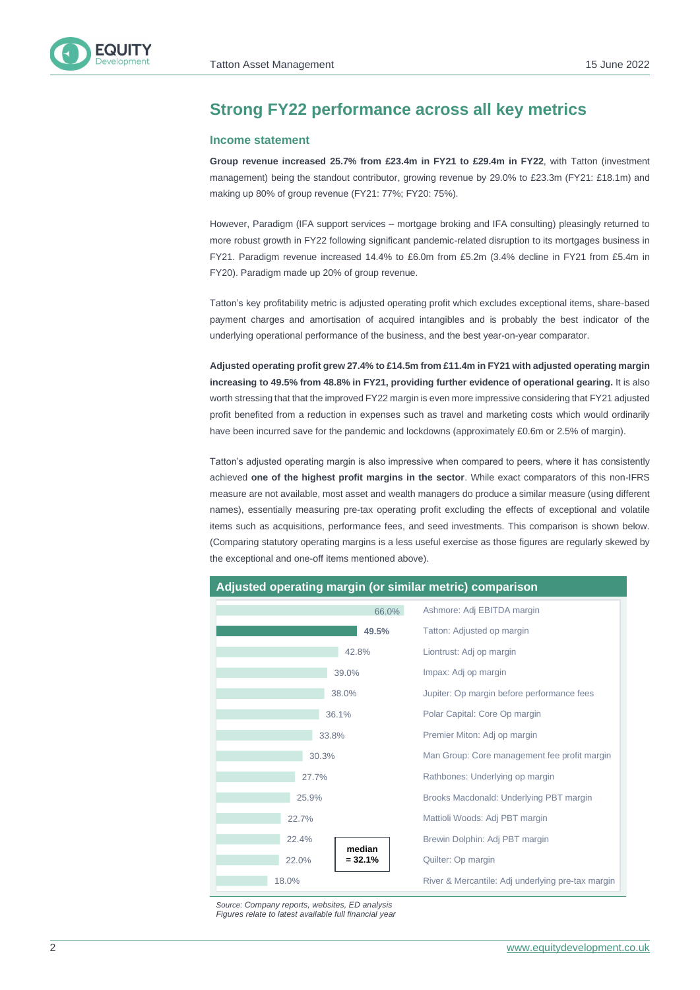

# **Strong FY22 performance across all key metrics**

#### **Income statement**

**Group revenue increased 25.7% from £23.4m in FY21 to £29.4m in FY22**, with Tatton (investment management) being the standout contributor, growing revenue by 29.0% to £23.3m (FY21: £18.1m) and making up 80% of group revenue (FY21: 77%; FY20: 75%).

However, Paradigm (IFA support services – mortgage broking and IFA consulting) pleasingly returned to more robust growth in FY22 following significant pandemic-related disruption to its mortgages business in FY21. Paradigm revenue increased 14.4% to £6.0m from £5.2m (3.4% decline in FY21 from £5.4m in FY20). Paradigm made up 20% of group revenue.

Tatton's key profitability metric is adjusted operating profit which excludes exceptional items, share-based payment charges and amortisation of acquired intangibles and is probably the best indicator of the underlying operational performance of the business, and the best year-on-year comparator.

**Adjusted operating profit grew 27.4% to £14.5m from £11.4m in FY21 with adjusted operating margin increasing to 49.5% from 48.8% in FY21, providing further evidence of operational gearing.** It is also worth stressing that that the improved FY22 margin is even more impressive considering that FY21 adjusted profit benefited from a reduction in expenses such as travel and marketing costs which would ordinarily have been incurred save for the pandemic and lockdowns (approximately £0.6m or 2.5% of margin).

Tatton's adjusted operating margin is also impressive when compared to peers, where it has consistently achieved **one of the highest profit margins in the sector**. While exact comparators of this non-IFRS measure are not available, most asset and wealth managers do produce a similar measure (using different names), essentially measuring pre-tax operating profit excluding the effects of exceptional and volatile items such as acquisitions, performance fees, and seed investments. This comparison is shown below. (Comparing statutory operating margins is a less useful exercise as those figures are regularly skewed by the exceptional and one-off items mentioned above).



*Source: Company reports, websites, ED analysis Figures relate to latest available full financial year*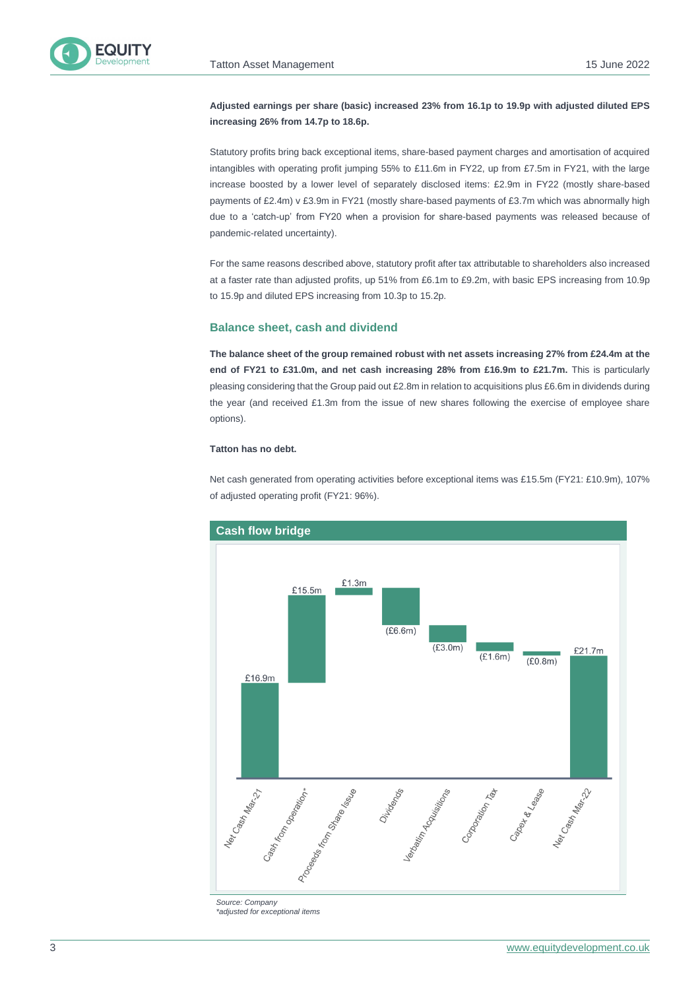

### **Adjusted earnings per share (basic) increased 23% from 16.1p to 19.9p with adjusted diluted EPS increasing 26% from 14.7p to 18.6p.**

Statutory profits bring back exceptional items, share-based payment charges and amortisation of acquired intangibles with operating profit jumping 55% to £11.6m in FY22, up from £7.5m in FY21, with the large increase boosted by a lower level of separately disclosed items: £2.9m in FY22 (mostly share-based payments of £2.4m) v £3.9m in FY21 (mostly share-based payments of £3.7m which was abnormally high due to a 'catch-up' from FY20 when a provision for share-based payments was released because of pandemic-related uncertainty).

For the same reasons described above, statutory profit after tax attributable to shareholders also increased at a faster rate than adjusted profits, up 51% from £6.1m to £9.2m, with basic EPS increasing from 10.9p to 15.9p and diluted EPS increasing from 10.3p to 15.2p.

#### **Balance sheet, cash and dividend**

**The balance sheet of the group remained robust with net assets increasing 27% from £24.4m at the end of FY21 to £31.0m, and net cash increasing 28% from £16.9m to £21.7m.** This is particularly pleasing considering that the Group paid out £2.8m in relation to acquisitions plus £6.6m in dividends during the year (and received £1.3m from the issue of new shares following the exercise of employee share options).

#### **Tatton has no debt.**

Net cash generated from operating activities before exceptional items was £15.5m (FY21: £10.9m), 107% of adjusted operating profit (FY21: 96%).



*Source: Company \*adjusted for exceptional items*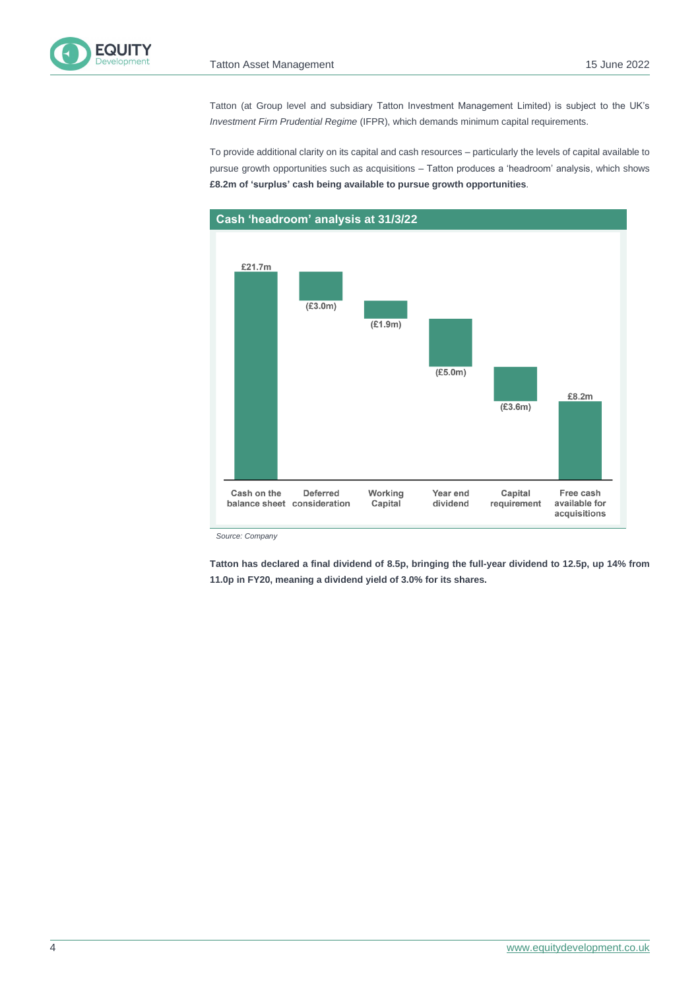

Tatton (at Group level and subsidiary Tatton Investment Management Limited) is subject to the UK's *Investment Firm Prudential Regime* (IFPR), which demands minimum capital requirements.

To provide additional clarity on its capital and cash resources – particularly the levels of capital available to pursue growth opportunities such as acquisitions – Tatton produces a 'headroom' analysis, which shows **£8.2m of 'surplus' cash being available to pursue growth opportunities**.



*Source: Company*

**Tatton has declared a final dividend of 8.5p, bringing the full-year dividend to 12.5p, up 14% from 11.0p in FY20, meaning a dividend yield of 3.0% for its shares.**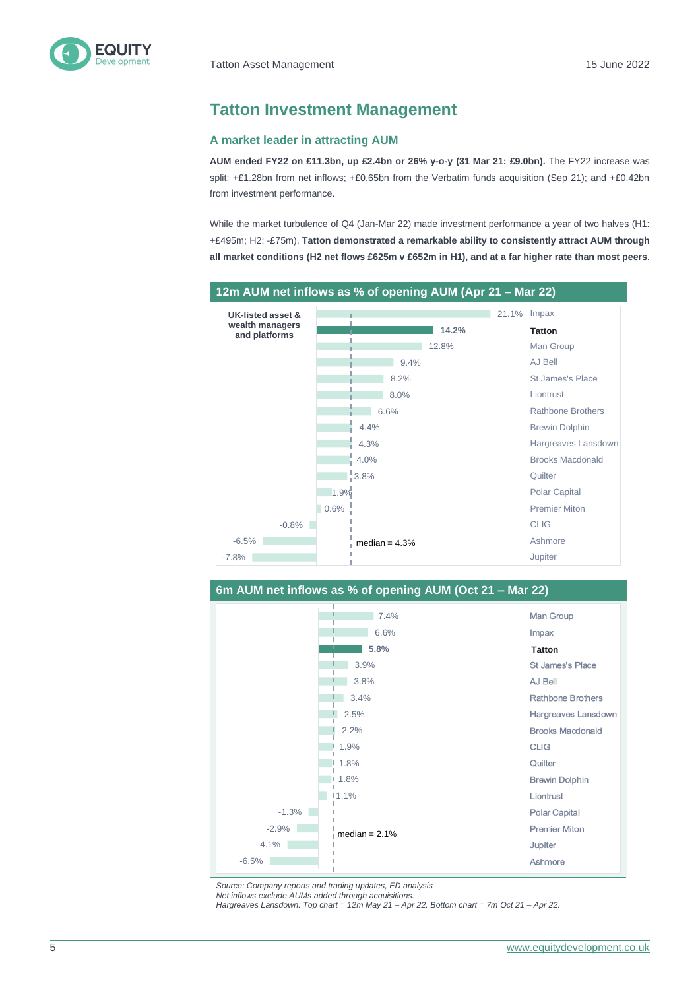

# **Tatton Investment Management**

#### **A market leader in attracting AUM**

**AUM ended FY22 on £11.3bn, up £2.4bn or 26% y-o-y (31 Mar 21: £9.0bn).** The FY22 increase was split: +£1.28bn from net inflows; +£0.65bn from the Verbatim funds acquisition (Sep 21); and +£0.42bn from investment performance.

While the market turbulence of Q4 (Jan-Mar 22) made investment performance a year of two halves (H1: +£495m; H2: -£75m), **Tatton demonstrated a remarkable ability to consistently attract AUM through all market conditions (H2 net flows £625m v £652m in H1), and at a far higher rate than most peers**.





*Source: Company reports and trading updates, ED analysis Net inflows exclude AUMs added through acquisitions.*

*Hargreaves Lansdown: Top chart = 12m May 21 – Apr 22. Bottom chart = 7m Oct 21 – Apr 22.*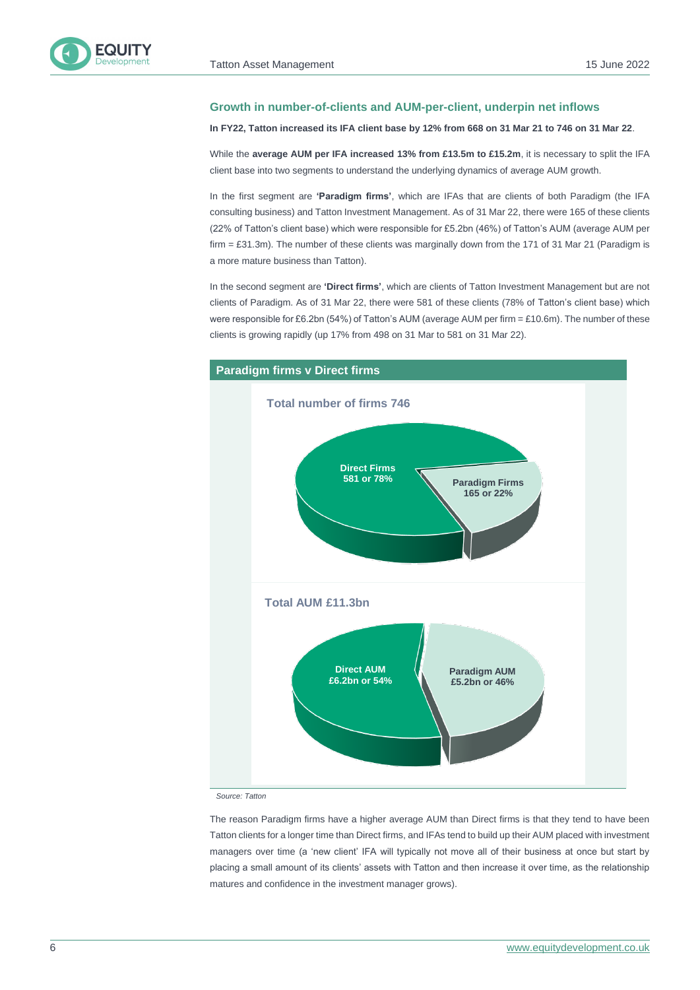

#### **Growth in number-of-clients and AUM-per-client, underpin net inflows**

#### **In FY22, Tatton increased its IFA client base by 12% from 668 on 31 Mar 21 to 746 on 31 Mar 22**.

While the **average AUM per IFA increased 13% from £13.5m to £15.2m**, it is necessary to split the IFA client base into two segments to understand the underlying dynamics of average AUM growth.

In the first segment are **'Paradigm firms'**, which are IFAs that are clients of both Paradigm (the IFA consulting business) and Tatton Investment Management. As of 31 Mar 22, there were 165 of these clients (22% of Tatton's client base) which were responsible for £5.2bn (46%) of Tatton's AUM (average AUM per firm  $=$  £31.3m). The number of these clients was marginally down from the 171 of 31 Mar 21 (Paradigm is a more mature business than Tatton).

In the second segment are **'Direct firms'**, which are clients of Tatton Investment Management but are not clients of Paradigm. As of 31 Mar 22, there were 581 of these clients (78% of Tatton's client base) which were responsible for £6.2bn (54%) of Tatton's AUM (average AUM per firm  $=$  £10.6m). The number of these clients is growing rapidly (up 17% from 498 on 31 Mar to 581 on 31 Mar 22).



*Source: Tatton*

The reason Paradigm firms have a higher average AUM than Direct firms is that they tend to have been Tatton clients for a longer time than Direct firms, and IFAs tend to build up their AUM placed with investment managers over time (a 'new client' IFA will typically not move all of their business at once but start by placing a small amount of its clients' assets with Tatton and then increase it over time, as the relationship matures and confidence in the investment manager grows).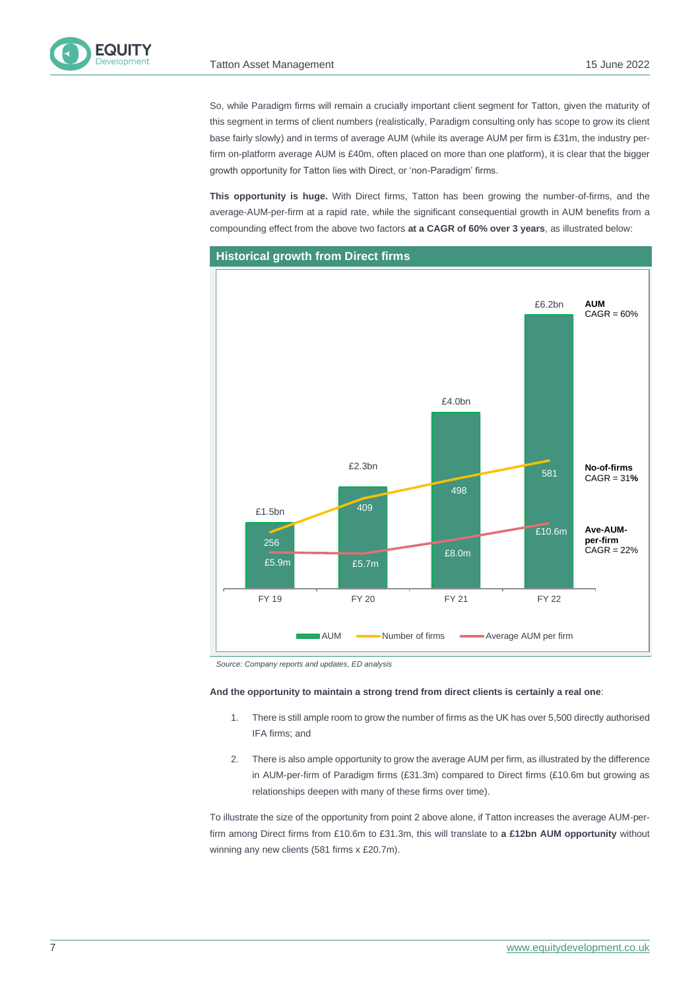FOLIITY

So, while Paradigm firms will remain a crucially important client segment for Tatton, given the maturity of this segment in terms of client numbers (realistically, Paradigm consulting only has scope to grow its client base fairly slowly) and in terms of average AUM (while its average AUM per firm is £31m, the industry perfirm on-platform average AUM is £40m, often placed on more than one platform), it is clear that the bigger growth opportunity for Tatton lies with Direct, or 'non-Paradigm' firms.

**This opportunity is huge.** With Direct firms, Tatton has been growing the number-of-firms, and the average-AUM-per-firm at a rapid rate, while the significant consequential growth in AUM benefits from a compounding effect from the above two factors **at a CAGR of 60% over 3 years**, as illustrated below:



*Source: Company reports and updates, ED analysis*

#### **And the opportunity to maintain a strong trend from direct clients is certainly a real one**:

- 1. There is still ample room to grow the number of firms as the UK has over 5,500 directly authorised IFA firms; and
- 2. There is also ample opportunity to grow the average AUM per firm, as illustrated by the difference in AUM-per-firm of Paradigm firms (£31.3m) compared to Direct firms (£10.6m but growing as relationships deepen with many of these firms over time).

To illustrate the size of the opportunity from point 2 above alone, if Tatton increases the average AUM-perfirm among Direct firms from £10.6m to £31.3m, this will translate to **a £12bn AUM opportunity** without winning any new clients (581 firms x £20.7m).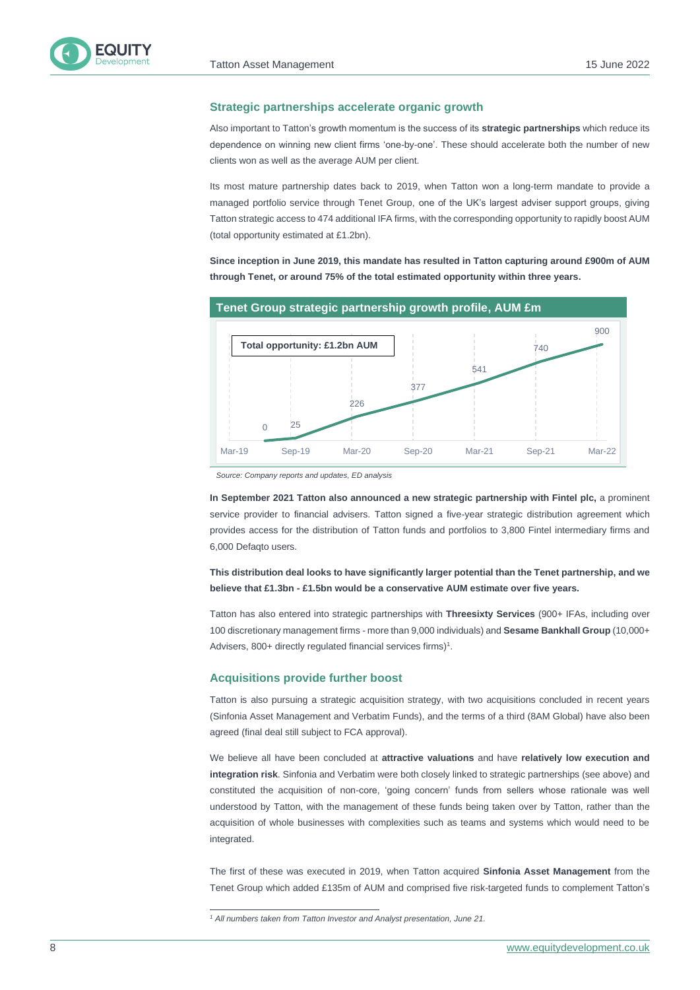

#### **Strategic partnerships accelerate organic growth**

Also important to Tatton's growth momentum is the success of its **strategic partnerships** which reduce its dependence on winning new client firms 'one-by-one'. These should accelerate both the number of new clients won as well as the average AUM per client.

Its most mature partnership dates back to 2019, when Tatton won a long-term mandate to provide a managed portfolio service through Tenet Group, one of the UK's largest adviser support groups, giving Tatton strategic access to 474 additional IFA firms, with the corresponding opportunity to rapidly boost AUM (total opportunity estimated at £1.2bn).

**Since inception in June 2019, this mandate has resulted in Tatton capturing around £900m of AUM through Tenet, or around 75% of the total estimated opportunity within three years.**



*Source: Company reports and updates, ED analysis*

**In September 2021 Tatton also announced a new strategic partnership with Fintel plc,** a prominent service provider to financial advisers. Tatton signed a five-year strategic distribution agreement which provides access for the distribution of Tatton funds and portfolios to 3,800 Fintel intermediary firms and 6,000 Defaqto users.

**This distribution deal looks to have significantly larger potential than the Tenet partnership, and we believe that £1.3bn - £1.5bn would be a conservative AUM estimate over five years.**

Tatton has also entered into strategic partnerships with **Threesixty Services** (900+ IFAs, including over 100 discretionary management firms - more than 9,000 individuals) and **Sesame Bankhall Group** (10,000+ Advisers, 800+ directly regulated financial services firms) $1$ .

#### **Acquisitions provide further boost**

Tatton is also pursuing a strategic acquisition strategy, with two acquisitions concluded in recent years (Sinfonia Asset Management and Verbatim Funds), and the terms of a third (8AM Global) have also been agreed (final deal still subject to FCA approval).

We believe all have been concluded at **attractive valuations** and have **relatively low execution and integration risk**. Sinfonia and Verbatim were both closely linked to strategic partnerships (see above) and constituted the acquisition of non-core, 'going concern' funds from sellers whose rationale was well understood by Tatton, with the management of these funds being taken over by Tatton, rather than the acquisition of whole businesses with complexities such as teams and systems which would need to be integrated.

The first of these was executed in 2019, when Tatton acquired **Sinfonia Asset Management** from the Tenet Group which added £135m of AUM and comprised five risk-targeted funds to complement Tatton's

*<sup>1</sup> All numbers taken from Tatton Investor and Analyst presentation, June 21.*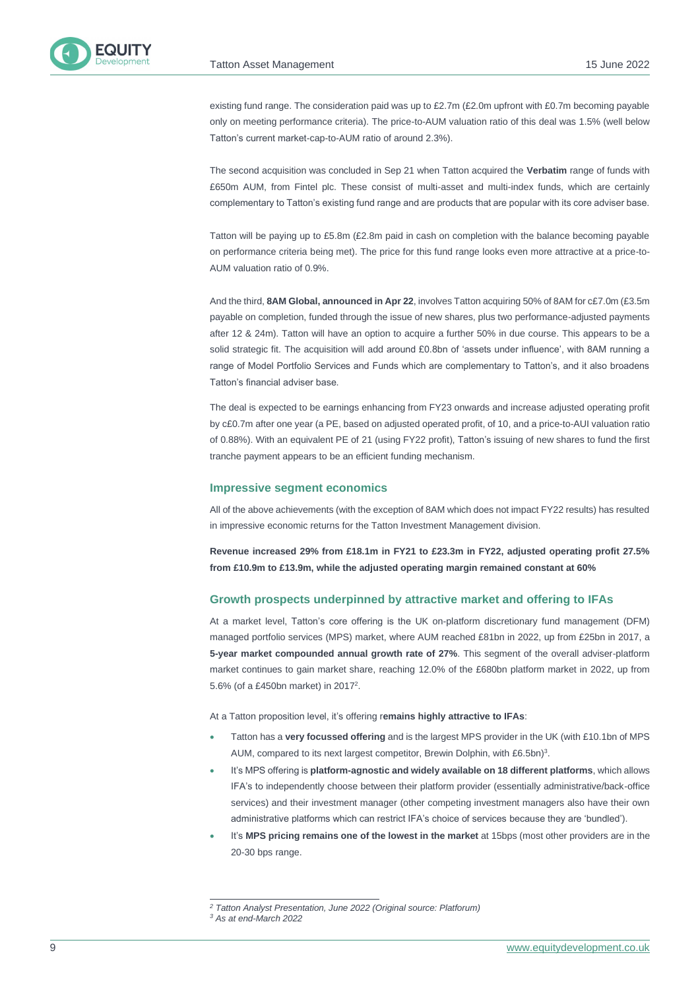

existing fund range. The consideration paid was up to £2.7m (£2.0m upfront with £0.7m becoming payable only on meeting performance criteria). The price-to-AUM valuation ratio of this deal was 1.5% (well below Tatton's current market-cap-to-AUM ratio of around 2.3%).

The second acquisition was concluded in Sep 21 when Tatton acquired the **Verbatim** range of funds with £650m AUM, from Fintel plc. These consist of multi-asset and multi-index funds, which are certainly complementary to Tatton's existing fund range and are products that are popular with its core adviser base.

Tatton will be paying up to £5.8m (£2.8m paid in cash on completion with the balance becoming payable on performance criteria being met). The price for this fund range looks even more attractive at a price-to-AUM valuation ratio of 0.9%.

And the third, **8AM Global, announced in Apr 22**, involves Tatton acquiring 50% of 8AM for c£7.0m (£3.5m payable on completion, funded through the issue of new shares, plus two performance-adjusted payments after 12 & 24m). Tatton will have an option to acquire a further 50% in due course. This appears to be a solid strategic fit. The acquisition will add around £0.8bn of 'assets under influence', with 8AM running a range of Model Portfolio Services and Funds which are complementary to Tatton's, and it also broadens Tatton's financial adviser base.

The deal is expected to be earnings enhancing from FY23 onwards and increase adjusted operating profit by c£0.7m after one year (a PE, based on adjusted operated profit, of 10, and a price-to-AUI valuation ratio of 0.88%). With an equivalent PE of 21 (using FY22 profit), Tatton's issuing of new shares to fund the first tranche payment appears to be an efficient funding mechanism.

#### **Impressive segment economics**

All of the above achievements (with the exception of 8AM which does not impact FY22 results) has resulted in impressive economic returns for the Tatton Investment Management division.

**Revenue increased 29% from £18.1m in FY21 to £23.3m in FY22, adjusted operating profit 27.5% from £10.9m to £13.9m, while the adjusted operating margin remained constant at 60%**

#### **Growth prospects underpinned by attractive market and offering to IFAs**

At a market level, Tatton's core offering is the UK on-platform discretionary fund management (DFM) managed portfolio services (MPS) market, where AUM reached £81bn in 2022, up from £25bn in 2017, a **5-year market compounded annual growth rate of 27%**. This segment of the overall adviser-platform market continues to gain market share, reaching 12.0% of the £680bn platform market in 2022, up from 5.6% (of a £450bn market) in 2017<sup>2</sup>.

At a Tatton proposition level, it's offering r**emains highly attractive to IFAs**:

- Tatton has a **very focussed offering** and is the largest MPS provider in the UK (with £10.1bn of MPS AUM, compared to its next largest competitor, Brewin Dolphin, with £6.5bn)<sup>3</sup>.
- It's MPS offering is **platform-agnostic and widely available on 18 different platforms**, which allows IFA's to independently choose between their platform provider (essentially administrative/back-office services) and their investment manager (other competing investment managers also have their own administrative platforms which can restrict IFA's choice of services because they are 'bundled').
- It's **MPS pricing remains one of the lowest in the market** at 15bps (most other providers are in the 20-30 bps range.

*<sup>2</sup> Tatton Analyst Presentation, June 2022 (Original source: Platforum)*

*<sup>3</sup> As at end-March 2022*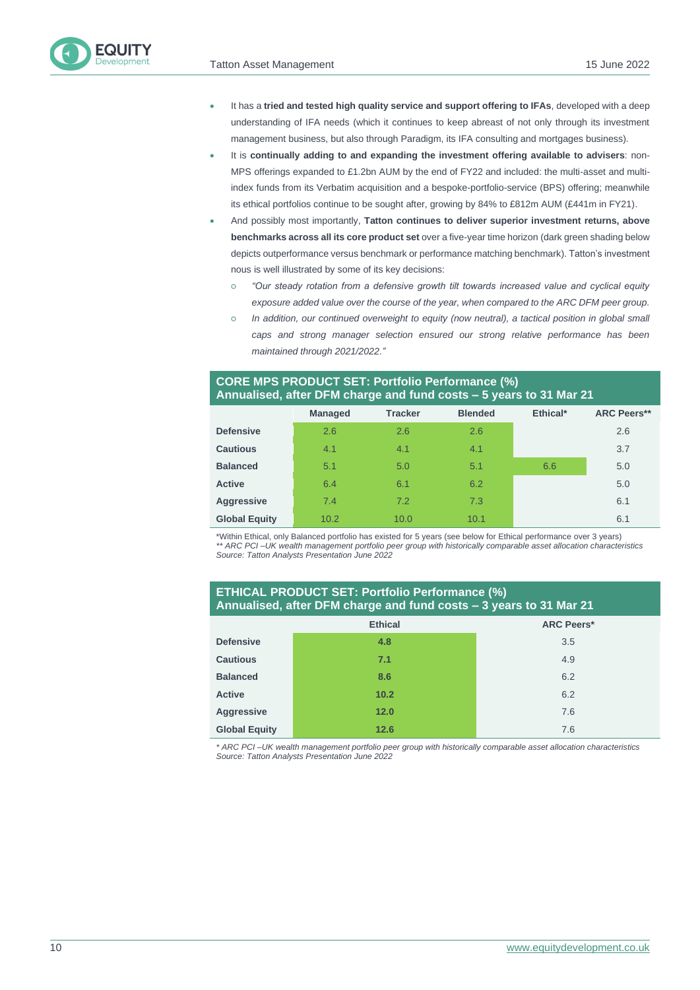

- It has a **tried and tested high quality service and support offering to IFAs**, developed with a deep understanding of IFA needs (which it continues to keep abreast of not only through its investment management business, but also through Paradigm, its IFA consulting and mortgages business).
- It is **continually adding to and expanding the investment offering available to advisers**: non-MPS offerings expanded to £1.2bn AUM by the end of FY22 and included: the multi-asset and multiindex funds from its Verbatim acquisition and a bespoke-portfolio-service (BPS) offering; meanwhile its ethical portfolios continue to be sought after, growing by 84% to £812m AUM (£441m in FY21).
- And possibly most importantly, **Tatton continues to deliver superior investment returns, above benchmarks across all its core product set** over a five-year time horizon (dark green shading below depicts outperformance versus benchmark or performance matching benchmark). Tatton's investment nous is well illustrated by some of its key decisions:
	- *"Our steady rotation from a defensive growth tilt towards increased value and cyclical equity exposure added value over the course of the year, when compared to the ARC DFM peer group.*
	- *In addition, our continued overweight to equity (now neutral), a tactical position in global small caps and strong manager selection ensured our strong relative performance has been maintained through 2021/2022."*

### **CORE MPS PRODUCT SET: Portfolio Performance (%) Annualised, after DFM charge and fund costs – 5 years to 31 Mar 21**

|                      | <b>Managed</b> | <b>Tracker</b> | <b>Blended</b> | Ethical* | <b>ARC Peers**</b> |
|----------------------|----------------|----------------|----------------|----------|--------------------|
| <b>Defensive</b>     | 2.6            | 2.6            | 2.6            |          | 2.6                |
| <b>Cautious</b>      | 4.1            | 4.1            | 4.1            |          | 3.7                |
| <b>Balanced</b>      | 5.1            | 5.0            | 5.1            | 6.6      | 5.0                |
| <b>Active</b>        | 6.4            | 6.1            | 6.2            |          | 5.0                |
| <b>Aggressive</b>    | 7.4            | 7.2            | 7.3            |          | 6.1                |
| <b>Global Equity</b> | 10.2           | 10.0           | 10.1           |          | 6.1                |

\*Within Ethical, only Balanced portfolio has existed for 5 years (see below for Ethical performance over 3 years) *\*\* ARC PCI –UK wealth management portfolio peer group with historically comparable asset allocation characteristics Source: Tatton Analysts Presentation June 2022*

### **ETHICAL PRODUCT SET: Portfolio Performance (%) Annualised, after DFM charge and fund costs – 3 years to 31 Mar 21**

|                      | <b>Ethical</b> | <b>ARC Peers*</b> |
|----------------------|----------------|-------------------|
| <b>Defensive</b>     | 4.8            | 3.5               |
| <b>Cautious</b>      | 7.1            | 4.9               |
| <b>Balanced</b>      | 8.6            | 6.2               |
| <b>Active</b>        | 10.2           | 6.2               |
| <b>Aggressive</b>    | 12.0           | 7.6               |
| <b>Global Equity</b> | 12.6           | 7.6               |

*\* ARC PCI –UK wealth management portfolio peer group with historically comparable asset allocation characteristics Source: Tatton Analysts Presentation June 2022*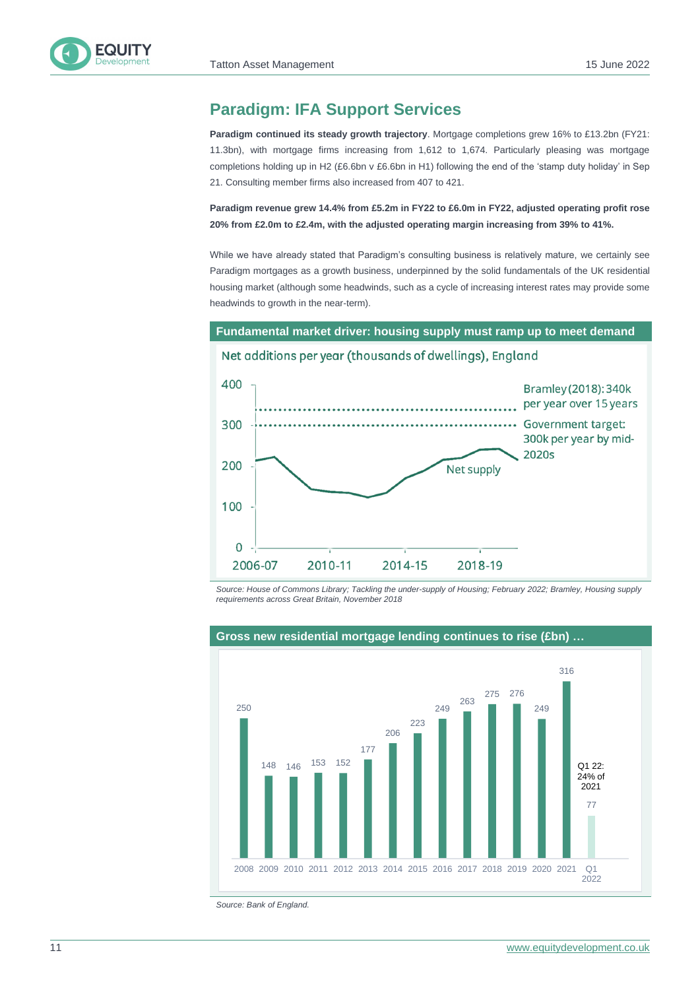# **Paradigm: IFA Support Services**

**Paradigm continued its steady growth trajectory**. Mortgage completions grew 16% to £13.2bn (FY21: 11.3bn), with mortgage firms increasing from 1,612 to 1,674. Particularly pleasing was mortgage completions holding up in H2 (£6.6bn v £6.6bn in H1) following the end of the 'stamp duty holiday' in Sep 21. Consulting member firms also increased from 407 to 421.

**Paradigm revenue grew 14.4% from £5.2m in FY22 to £6.0m in FY22, adjusted operating profit rose 20% from £2.0m to £2.4m, with the adjusted operating margin increasing from 39% to 41%.**

While we have already stated that Paradigm's consulting business is relatively mature, we certainly see Paradigm mortgages as a growth business, underpinned by the solid fundamentals of the UK residential housing market (although some headwinds, such as a cycle of increasing interest rates may provide some headwinds to growth in the near-term).



*Source: House of Commons Library; Tackling the under-supply of Housing; February 2022; Bramley, Housing supply requirements across Great Britain, November 2018*



#### **Gross new residential mortgage lending continues to rise (£bn) …**

*Source: Bank of England.*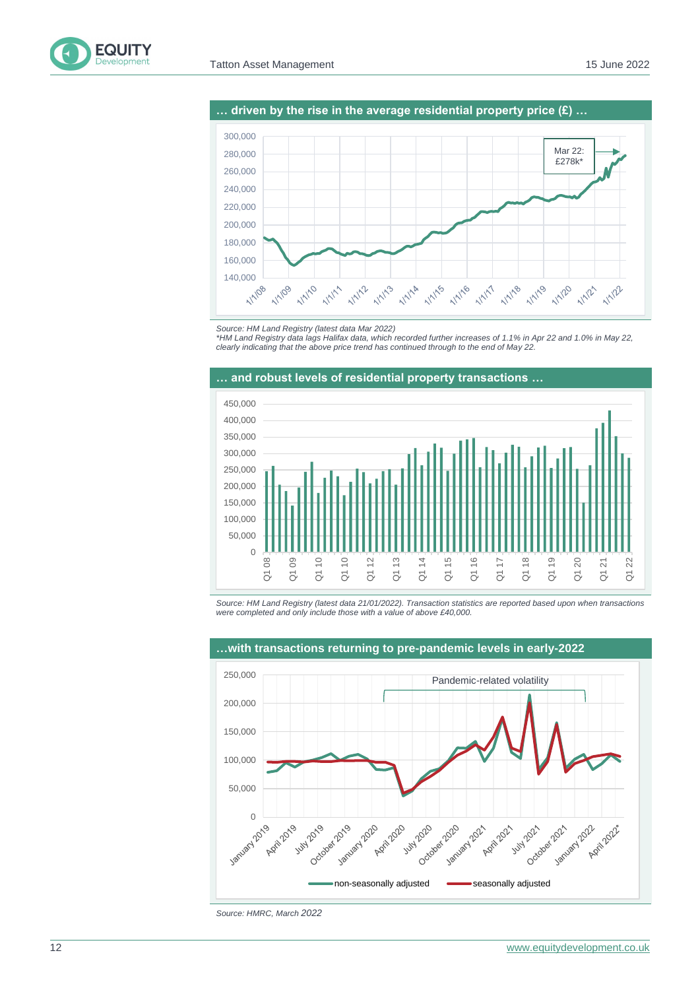



*\*HM Land Registry data lags Halifax data, which recorded further increases of 1.1% in Apr 22 and 1.0% in May 22, clearly indicating that the above price trend has continued through to the end of May 22.*



*Source: HM Land Registry (latest data 21/01/2022). Transaction statistics are reported based upon when transactions were completed and only include those with a value of above £40,000.*



*Source: HMRC, March 2022*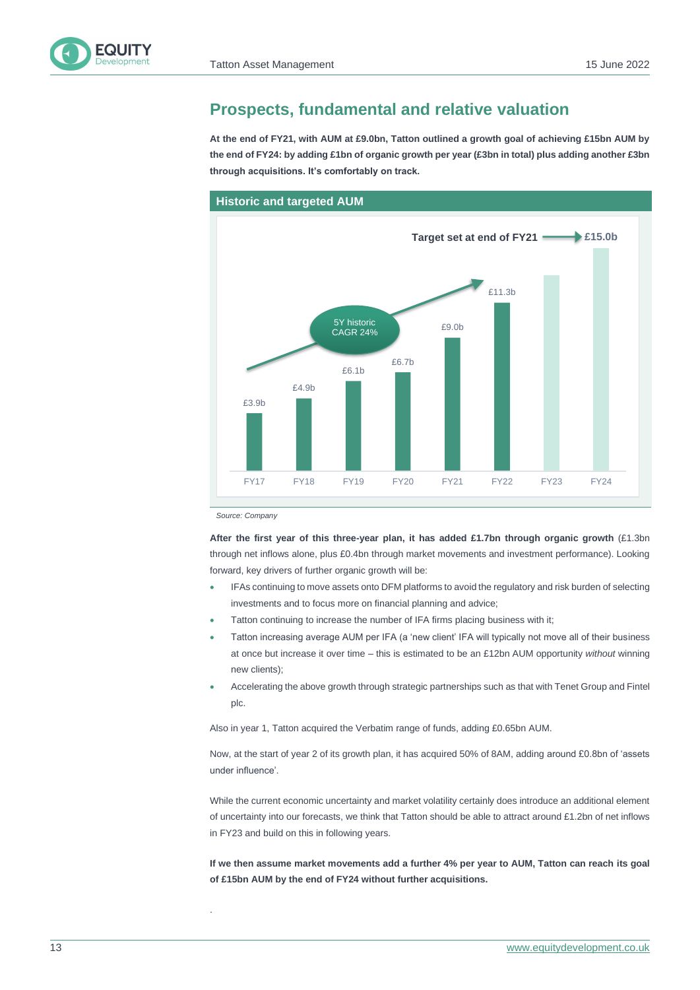# **Prospects, fundamental and relative valuation**

**At the end of FY21, with AUM at £9.0bn, Tatton outlined a growth goal of achieving £15bn AUM by the end of FY24: by adding £1bn of organic growth per year (£3bn in total) plus adding another £3bn through acquisitions. It's comfortably on track.**



*Source: Company*

.

**After the first year of this three-year plan, it has added £1.7bn through organic growth** (£1.3bn through net inflows alone, plus £0.4bn through market movements and investment performance). Looking forward, key drivers of further organic growth will be:

- IFAs continuing to move assets onto DFM platforms to avoid the regulatory and risk burden of selecting investments and to focus more on financial planning and advice;
- Tatton continuing to increase the number of IFA firms placing business with it;
- Tatton increasing average AUM per IFA (a 'new client' IFA will typically not move all of their business at once but increase it over time – this is estimated to be an £12bn AUM opportunity *without* winning new clients);
- Accelerating the above growth through strategic partnerships such as that with Tenet Group and Fintel plc.

Also in year 1, Tatton acquired the Verbatim range of funds, adding £0.65bn AUM.

Now, at the start of year 2 of its growth plan, it has acquired 50% of 8AM, adding around £0.8bn of 'assets under influence'.

While the current economic uncertainty and market volatility certainly does introduce an additional element of uncertainty into our forecasts, we think that Tatton should be able to attract around £1.2bn of net inflows in FY23 and build on this in following years.

**If we then assume market movements add a further 4% per year to AUM, Tatton can reach its goal of £15bn AUM by the end of FY24 without further acquisitions.**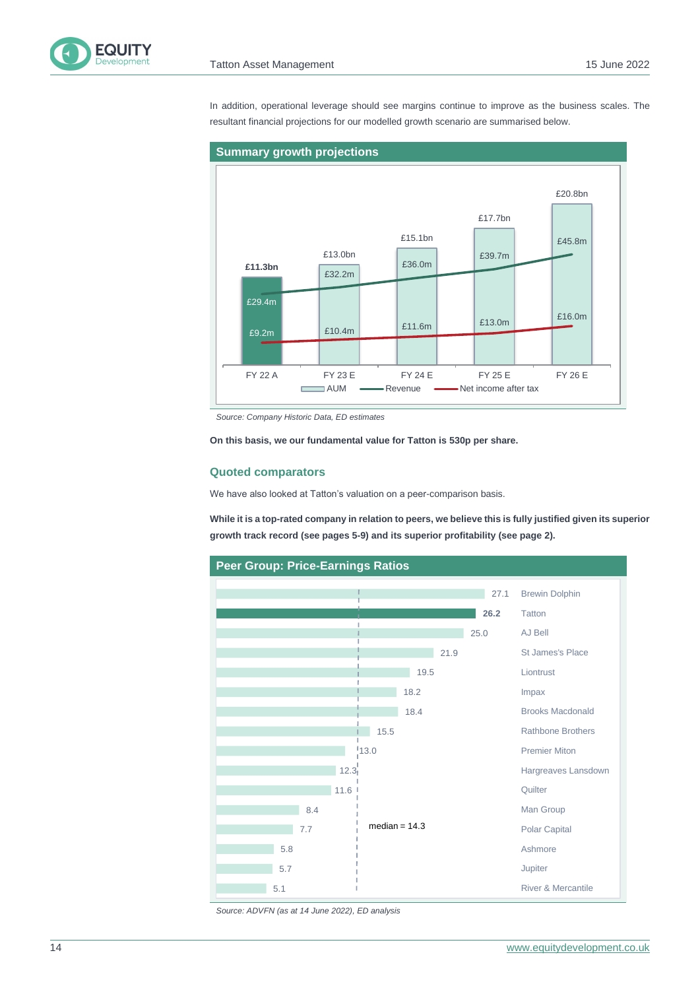

In addition, operational leverage should see margins continue to improve as the business scales. The resultant financial projections for our modelled growth scenario are summarised below.



*Source: Company Historic Data, ED estimates*

**On this basis, we our fundamental value for Tatton is 530p per share.** 

#### **Quoted comparators**

We have also looked at Tatton's valuation on a peer-comparison basis.

**While it is a top-rated company in relation to peers, we believe this is fully justified given its superior growth track record (see pages 5-9) and its superior profitability (see page 2).**



*Source: ADVFN (as at 14 June 2022), ED analysis*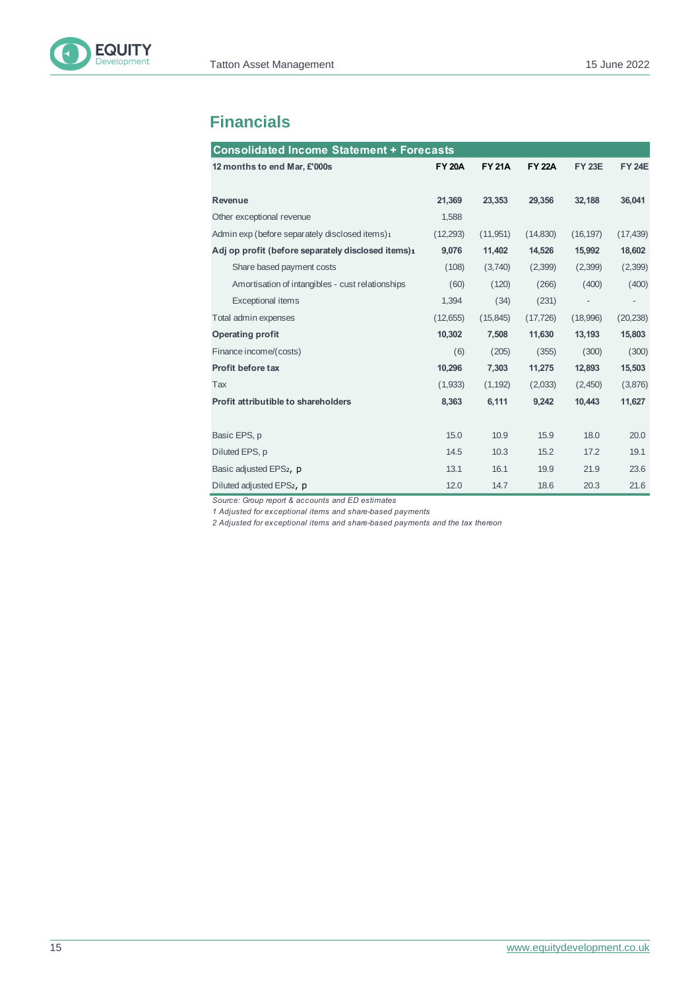

# **Financials**

| <b>Consolidated Income Statement + Forecasts</b>   |               |               |               |                          |                          |  |
|----------------------------------------------------|---------------|---------------|---------------|--------------------------|--------------------------|--|
| 12 months to end Mar, £'000s                       | <b>FY 20A</b> | <b>FY 21A</b> | <b>FY 22A</b> | <b>FY 23E</b>            | <b>FY 24E</b>            |  |
|                                                    |               |               |               |                          |                          |  |
| <b>Revenue</b>                                     | 21,369        | 23,353        | 29,356        | 32,188                   | 36,041                   |  |
| Other exceptional revenue                          | 1,588         |               |               |                          |                          |  |
| Admin exp (before separately disclosed items)1     | (12, 293)     | (11, 951)     | (14, 830)     | (16, 197)                | (17, 439)                |  |
| Adj op profit (before separately disclosed items)1 | 9,076         | 11,402        | 14,526        | 15,992                   | 18,602                   |  |
| Share based payment costs                          | (108)         | (3,740)       | (2,399)       | (2,399)                  | (2,399)                  |  |
| Amortisation of intangibles - cust relationships   | (60)          | (120)         | (266)         | (400)                    | (400)                    |  |
| <b>Exceptional items</b>                           | 1,394         | (34)          | (231)         | $\overline{\phantom{a}}$ | $\overline{\phantom{0}}$ |  |
| Total admin expenses                               | (12,655)      | (15, 845)     | (17, 726)     | (18,996)                 | (20, 238)                |  |
| <b>Operating profit</b>                            | 10,302        | 7,508         | 11,630        | 13,193                   | 15,803                   |  |
| Finance income/(costs)                             | (6)           | (205)         | (355)         | (300)                    | (300)                    |  |
| Profit before tax                                  | 10,296        | 7,303         | 11,275        | 12,893                   | 15,503                   |  |
| Tax                                                | (1,933)       | (1, 192)      | (2,033)       | (2,450)                  | (3,876)                  |  |
| Profit attributible to shareholders                | 8,363         | 6,111         | 9,242         | 10,443                   | 11,627                   |  |
|                                                    |               |               |               |                          |                          |  |
| Basic EPS, p                                       | 15.0          | 10.9          | 15.9          | 18.0                     | 20.0                     |  |
| Diluted EPS, p                                     | 14.5          | 10.3          | 15.2          | 17.2                     | 19.1                     |  |
| Basic adjusted EPS2, p                             | 13.1          | 16.1          | 19.9          | 21.9                     | 23.6                     |  |
| Diluted adjusted EPS <sub>2</sub> , p              | 12.0          | 14.7          | 18.6          | 20.3                     | 21.6                     |  |

*Source: Group report & accounts and ED estimates*

*1 Adjusted for exceptional items and share-based payments*

*2 Adjusted for exceptional items and share-based payments and the tax thereon*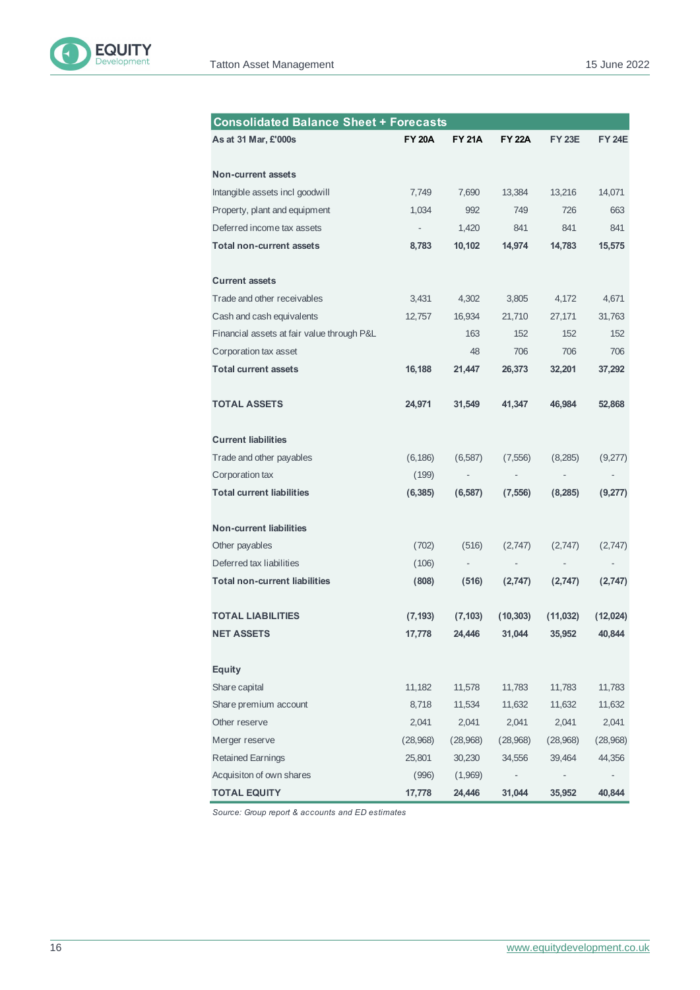

| <b>Consolidated Balance Sheet + Forecasts</b> |               |               |               |                          |                          |
|-----------------------------------------------|---------------|---------------|---------------|--------------------------|--------------------------|
| As at 31 Mar, £'000s                          | <b>FY 20A</b> | <b>FY 21A</b> | <b>FY 22A</b> | <b>FY 23E</b>            | <b>FY 24E</b>            |
|                                               |               |               |               |                          |                          |
| <b>Non-current assets</b>                     |               |               |               |                          |                          |
| Intangible assets incl goodwill               | 7,749         | 7,690         | 13,384        | 13,216                   | 14,071                   |
| Property, plant and equipment                 | 1,034         | 992           | 749           | 726                      | 663                      |
| Deferred income tax assets                    | ÷             | 1,420         | 841           | 841                      | 841                      |
| <b>Total non-current assets</b>               | 8,783         | 10,102        | 14,974        | 14,783                   | 15,575                   |
| <b>Current assets</b>                         |               |               |               |                          |                          |
| Trade and other receivables                   | 3,431         | 4,302         | 3,805         | 4,172                    | 4,671                    |
| Cash and cash equivalents                     | 12,757        | 16,934        | 21,710        | 27,171                   | 31,763                   |
| Financial assets at fair value through P&L    |               | 163           | 152           | 152                      | 152                      |
| Corporation tax asset                         |               | 48            | 706           | 706                      | 706                      |
| <b>Total current assets</b>                   | 16,188        | 21,447        | 26,373        | 32,201                   | 37,292                   |
|                                               |               |               |               |                          |                          |
| <b>TOTAL ASSETS</b>                           | 24,971        | 31,549        | 41,347        | 46,984                   | 52,868                   |
| <b>Current liabilities</b>                    |               |               |               |                          |                          |
| Trade and other payables                      | (6, 186)      | (6, 587)      | (7, 556)      | (8,285)                  | (9,277)                  |
| Corporation tax                               | (199)         |               |               |                          |                          |
| <b>Total current liabilities</b>              | (6, 385)      | (6, 587)      | (7, 556)      | (8, 285)                 | (9,277)                  |
| Non-current liabilities                       |               |               |               |                          |                          |
| Other payables                                | (702)         | (516)         | (2,747)       | (2,747)                  | (2,747)                  |
| Deferred tax liabilities                      | (106)         | ÷,            | ÷             | $\overline{\phantom{m}}$ | $\overline{\phantom{m}}$ |
| <b>Total non-current liabilities</b>          | (808)         | (516)         | (2,747)       | (2,747)                  | (2,747)                  |
| <b>TOTAL LIABILITIES</b>                      | (7, 193)      | (7, 103)      | (10, 303)     | (11,032)                 | (12,024)                 |
| <b>NET ASSETS</b>                             | 17,778        | 24,446        | 31,044        | 35,952                   | 40,844                   |
|                                               |               |               |               |                          |                          |
| <b>Equity</b>                                 |               |               |               |                          |                          |
| Share capital                                 | 11,182        | 11,578        | 11,783        | 11,783                   | 11,783                   |
| Share premium account                         | 8,718         | 11,534        | 11,632        | 11,632                   | 11,632                   |
| Other reserve                                 | 2,041         | 2,041         | 2,041         | 2,041                    | 2,041                    |
| Merger reserve                                | (28,968)      | (28,968)      | (28,968)      | (28,968)                 | (28,968)                 |
| <b>Retained Earnings</b>                      | 25,801        | 30,230        | 34,556        | 39,464                   | 44,356                   |
| Acquisiton of own shares                      | (996)         | (1,969)       |               |                          |                          |
| <b>TOTAL EQUITY</b>                           | 17,778        | 24,446        | 31,044        | 35,952                   | 40,844                   |

*Source: Group report & accounts and ED estimates*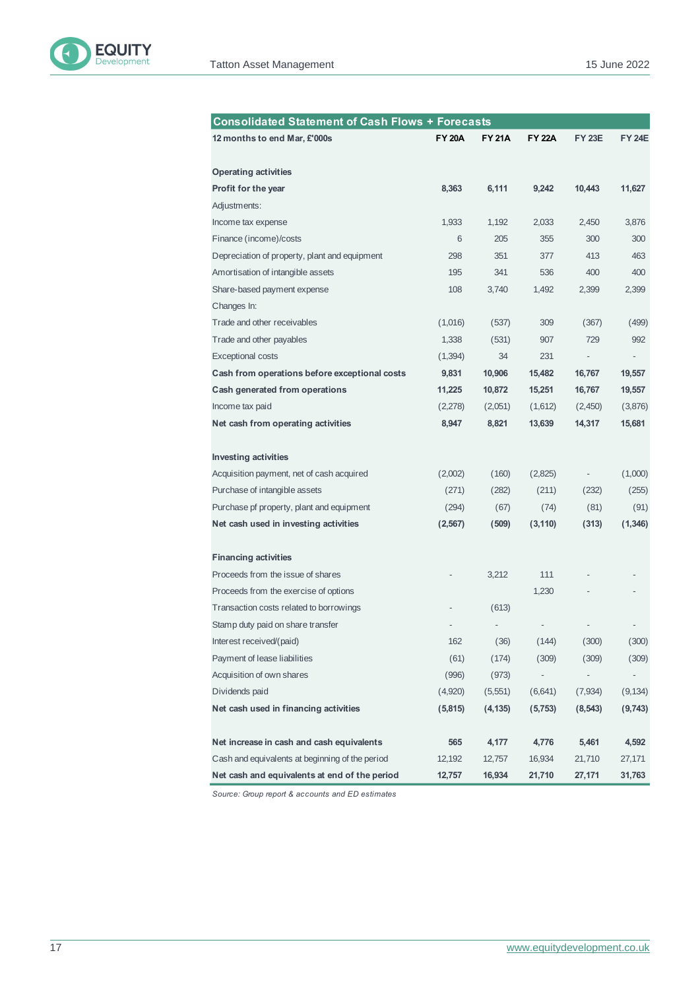

| <b>Consolidated Statement of Cash Flows + Forecasts</b> |               |               |               |               |               |  |  |
|---------------------------------------------------------|---------------|---------------|---------------|---------------|---------------|--|--|
| 12 months to end Mar, £'000s                            | <b>FY 20A</b> | <b>FY 21A</b> | <b>FY 22A</b> | <b>FY 23E</b> | <b>FY 24E</b> |  |  |
| <b>Operating activities</b>                             |               |               |               |               |               |  |  |
| Profit for the year                                     | 8,363         | 6,111         | 9,242         | 10,443        | 11,627        |  |  |
| Adjustments:                                            |               |               |               |               |               |  |  |
| Income tax expense                                      | 1,933         | 1,192         | 2,033         | 2,450         | 3,876         |  |  |
| Finance (income)/costs                                  | 6             | 205           | 355           | 300           | 300           |  |  |
| Depreciation of property, plant and equipment           | 298           | 351           | 377           | 413           | 463           |  |  |
| Amortisation of intangible assets                       | 195           | 341           | 536           | 400           | 400           |  |  |
| Share-based payment expense                             | 108           | 3,740         | 1,492         | 2,399         | 2,399         |  |  |
| Changes In:                                             |               |               |               |               |               |  |  |
| Trade and other receivables                             | (1,016)       | (537)         | 309           | (367)         | (499)         |  |  |
| Trade and other payables                                | 1,338         | (531)         | 907           | 729           | 992           |  |  |
| <b>Exceptional costs</b>                                | (1, 394)      | 34            | 231           |               |               |  |  |
| Cash from operations before exceptional costs           | 9,831         | 10,906        | 15,482        | 16,767        | 19,557        |  |  |
| Cash generated from operations                          | 11,225        | 10,872        | 15,251        | 16,767        | 19,557        |  |  |
| Income tax paid                                         | (2,278)       | (2,051)       | (1,612)       | (2,450)       | (3,876)       |  |  |
| Net cash from operating activities                      | 8,947         | 8,821         | 13,639        | 14,317        | 15,681        |  |  |
| <b>Investing activities</b>                             |               |               |               |               |               |  |  |
| Acquisition payment, net of cash acquired               | (2,002)       | (160)         | (2,825)       |               | (1,000)       |  |  |
| Purchase of intangible assets                           | (271)         | (282)         | (211)         | (232)         | (255)         |  |  |
| Purchase pf property, plant and equipment               | (294)         | (67)          | (74)          | (81)          | (91)          |  |  |
| Net cash used in investing activities                   | (2, 567)      | (509)         | (3, 110)      | (313)         | (1, 346)      |  |  |
| <b>Financing activities</b>                             |               |               |               |               |               |  |  |
| Proceeds from the issue of shares                       |               | 3,212         | 111           |               |               |  |  |
| Proceeds from the exercise of options                   |               |               | 1,230         |               |               |  |  |
| Transaction costs related to borrowings                 |               | (613)         |               |               |               |  |  |
| Stamp duty paid on share transfer                       |               |               |               |               |               |  |  |
| Interest received/(paid)                                | 162           | (36)          | (144)         | (300)         | (300)         |  |  |
| Payment of lease liabilities                            | (61)          | (174)         | (309)         | (309)         | (309)         |  |  |
| Acquisition of own shares                               | (996)         | (973)         | -             | -             |               |  |  |
| Dividends paid                                          | (4,920)       | (5,551)       | (6, 641)      | (7,934)       | (9, 134)      |  |  |
| Net cash used in financing activities                   | (5, 815)      | (4, 135)      | (5, 753)      | (8, 543)      | (9,743)       |  |  |
| Net increase in cash and cash equivalents               | 565           | 4,177         | 4,776         | 5,461         | 4,592         |  |  |
| Cash and equivalents at beginning of the period         | 12,192        | 12,757        | 16,934        | 21,710        | 27,171        |  |  |
| Net cash and equivalents at end of the period           | 12,757        | 16,934        | 21,710        | 27,171        | 31,763        |  |  |

*Source: Group report & accounts and ED estimates*